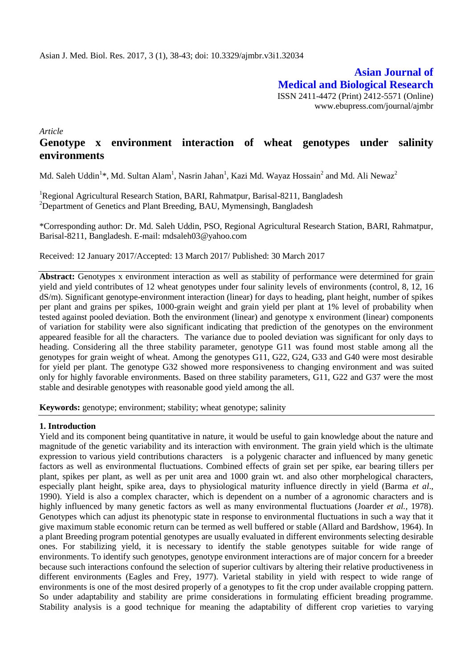**Asian Journal of Medical and Biological Research** ISSN 2411-4472 (Print) 2412-5571 (Online) www.ebupress.com/journal/ajmbr

*Article*

# **Genotype x environment interaction of wheat genotypes under salinity environments**

Md. Saleh Uddin<sup>1</sup>\*, Md. Sultan Alam<sup>1</sup>, Nasrin Jahan<sup>1</sup>, Kazi Md. Wayaz Hossain<sup>2</sup> and Md. Ali Newaz<sup>2</sup>

<sup>1</sup>Regional Agricultural Research Station, BARI, Rahmatpur, Barisal-8211, Bangladesh <sup>2</sup>Department of Genetics and Plant Breeding, BAU, Mymensingh, Bangladesh

\*Corresponding author: Dr. Md. Saleh Uddin, PSO, Regional Agricultural Research Station, BARI, Rahmatpur, Barisal-8211, Bangladesh. E-mail: [mdsaleh03@yahoo.com](mailto:mdsaleh03@yahoo.com)

Received: 12 January 2017/Accepted: 13 March 2017/ Published: 30 March 2017

Abstract: Genotypes x environment interaction as well as stability of performance were determined for grain yield and yield contributes of 12 wheat genotypes under four salinity levels of environments (control, 8, 12, 16 dS/m). Significant genotype-environment interaction (linear) for days to heading, plant height, number of spikes per plant and grains per spikes, 1000-grain weight and grain yield per plant at 1% level of probability when tested against pooled deviation. Both the environment (linear) and genotype x environment (linear) components of variation for stability were also significant indicating that prediction of the genotypes on the environment appeared feasible for all the characters. The variance due to pooled deviation was significant for only days to heading. Considering all the three stability parameter, genotype G11 was found most stable among all the genotypes for grain weight of wheat. Among the genotypes G11, G22, G24, G33 and G40 were most desirable for yield per plant. The genotype G32 showed more responsiveness to changing environment and was suited only for highly favorable environments. Based on three stability parameters, G11, G22 and G37 were the most stable and desirable genotypes with reasonable good yield among the all.

**Keywords:** genotype; environment; stability; wheat genotype; salinity

## **1. Introduction**

Yield and its component being quantitative in nature, it would be useful to gain knowledge about the nature and magnitude of the genetic variability and its interaction with environment. The grain yield which is the ultimate expression to various yield contributions characters is a polygenic character and influenced by many genetic factors as well as environmental fluctuations. Combined effects of grain set per spike, ear bearing tillers per plant, spikes per plant, as well as per unit area and 1000 grain wt. and also other morphelogical characters, especially plant height, spike area, days to physiological maturity influence directly in yield (Barma *et al*., 1990). Yield is also a complex character, which is dependent on a number of a agronomic characters and is highly influenced by many genetic factors as well as many environmental fluctuations (Joarder *et al.,* 1978). Genotypes which can adjust its phenotypic state in response to environmental fluctuations in such a way that it give maximum stable economic return can be termed as well buffered or stable (Allard and Bardshow, 1964). In a plant Breeding program potential genotypes are usually evaluated in different environments selecting desirable ones. For stabilizing yield, it is necessary to identify the stable genotypes suitable for wide range of environments. To identify such genotypes, genotype environment interactions are of major concern for a breeder because such interactions confound the selection of superior cultivars by altering their relative productiveness in different environments (Eagles and Frey, 1977). Varietal stability in yield with respect to wide range of environments is one of the most desired properly of a genotypes to fit the crop under available cropping pattern. So under adaptability and stability are prime considerations in formulating efficient breading programme. Stability analysis is a good technique for meaning the adaptability of different crop varieties to varying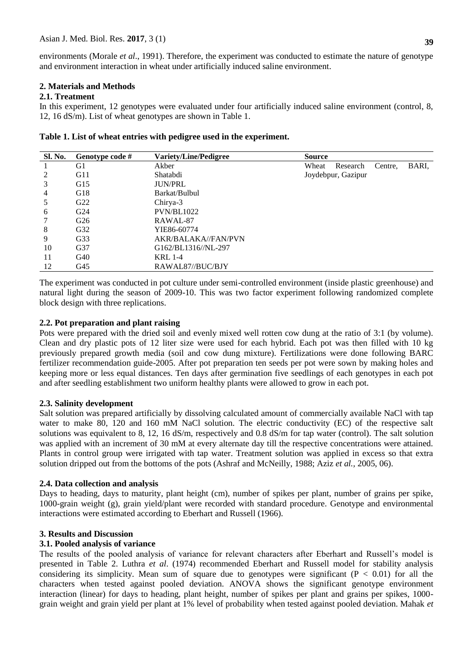environments (Morale *et al*., 1991). Therefore, the experiment was conducted to estimate the nature of genotype and environment interaction in wheat under artificially induced saline environment.

# **2. Materials and Methods**

## **2.1. Treatment**

In this experiment, 12 genotypes were evaluated under four artificially induced saline environment (control, 8, 12, 16 dS/m). List of wheat genotypes are shown in Table 1.

| Sl. No. | Genotype code # | <b>Variety/Line/Pedigree</b> | <b>Source</b> |                    |         |       |
|---------|-----------------|------------------------------|---------------|--------------------|---------|-------|
|         | G1              | Akber                        | Wheat         | Research           | Centre. | BARI, |
| 2       | G11             | Shatabdi                     |               | Joydebpur, Gazipur |         |       |
| 3       | G15             | <b>JUN/PRL</b>               |               |                    |         |       |
| 4       | G18             | Barkat/Bulbul                |               |                    |         |       |
| 5       | G <sub>22</sub> | Chirya-3                     |               |                    |         |       |
| 6       | G <sub>24</sub> | <b>PVN/BL1022</b>            |               |                    |         |       |
|         | G <sub>26</sub> | RAWAL-87                     |               |                    |         |       |
| 8       | G32             | YIE86-60774                  |               |                    |         |       |
| 9       | G33             | AKR/BALAKA//FAN/PVN          |               |                    |         |       |
| 10      | G37             | G162/BL1316//NL-297          |               |                    |         |       |
| 11      | G40             | <b>KRL 1-4</b>               |               |                    |         |       |
| 12      | G <sub>45</sub> | RAWAL87//BUC/BJY             |               |                    |         |       |

The experiment was conducted in pot culture under semi-controlled environment (inside plastic greenhouse) and natural light during the season of 2009-10. This was two factor experiment following randomized complete block design with three replications.

## **2.2. Pot preparation and plant raising**

Pots were prepared with the dried soil and evenly mixed well rotten cow dung at the ratio of 3:1 (by volume). Clean and dry plastic pots of 12 liter size were used for each hybrid. Each pot was then filled with 10 kg previously prepared growth media (soil and cow dung mixture). Fertilizations were done following BARC fertilizer recommendation guide-2005. After pot preparation ten seeds per pot were sown by making holes and keeping more or less equal distances. Ten days after germination five seedlings of each genotypes in each pot and after seedling establishment two uniform healthy plants were allowed to grow in each pot.

# **2.3. Salinity development**

Salt solution was prepared artificially by dissolving calculated amount of commercially available NaCl with tap water to make 80, 120 and 160 mM NaCl solution. The electric conductivity (EC) of the respective salt solutions was equivalent to 8, 12, 16 dS/m, respectively and 0.8 dS/m for tap water (control). The salt solution was applied with an increment of 30 mM at every alternate day till the respective concentrations were attained. Plants in control group were irrigated with tap water. Treatment solution was applied in excess so that extra solution dripped out from the bottoms of the pots (Ashraf and McNeilly, 1988; Aziz *et al.,* 2005, 06).

## **2.4. Data collection and analysis**

Days to heading, days to maturity, plant height (cm), number of spikes per plant, number of grains per spike, 1000-grain weight (g), grain yield/plant were recorded with standard procedure. Genotype and environmental interactions were estimated according to Eberhart and Russell (1966).

# **3. Results and Discussion**

# **3.1. Pooled analysis of variance**

The results of the pooled analysis of variance for relevant characters after Eberhart and Russell's model is presented in Table 2. Luthra *et al*. (1974) recommended Eberhart and Russell model for stability analysis considering its simplicity. Mean sum of square due to genotypes were significant  $(P < 0.01)$  for all the characters when tested against pooled deviation. ANOVA shows the significant genotype environment interaction (linear) for days to heading, plant height, number of spikes per plant and grains per spikes, 1000 grain weight and grain yield per plant at 1% level of probability when tested against pooled deviation. Mahak *et*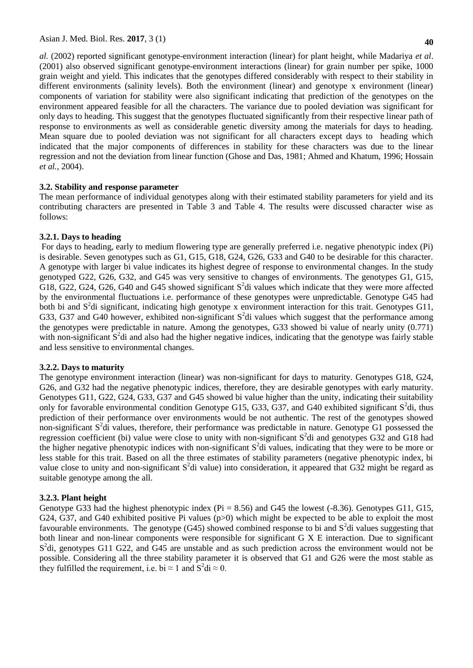*al.* (2002) reported significant genotype-environment interaction (linear) for plant height, while Madariya *et al*. (2001) also observed significant genotype-environment interactions (linear) for grain number per spike, 1000 grain weight and yield. This indicates that the genotypes differed considerably with respect to their stability in different environments (salinity levels). Both the environment (linear) and genotype x environment (linear) components of variation for stability were also significant indicating that prediction of the genotypes on the environment appeared feasible for all the characters. The variance due to pooled deviation was significant for only days to heading. This suggest that the genotypes fluctuated significantly from their respective linear path of response to environments as well as considerable genetic diversity among the materials for days to heading. Mean square due to pooled deviation was not significant for all characters except days to heading which indicated that the major components of differences in stability for these characters was due to the linear regression and not the deviation from linear function (Ghose and Das, 1981; Ahmed and Khatum, 1996; Hossain *et al.,* 2004).

# **3.2. Stability and response parameter**

The mean performance of individual genotypes along with their estimated stability parameters for yield and its contributing characters are presented in Table 3 and Table 4. The results were discussed character wise as follows:

## **3.2.1. Days to heading**

For days to heading, early to medium flowering type are generally preferred i.e. negative phenotypic index (Pi) is desirable. Seven genotypes such as G1, G15, G18, G24, G26, G33 and G40 to be desirable for this character. A genotype with larger bi value indicates its highest degree of response to environmental changes. In the study genotyped G22, G26, G32, and G45 was very sensitive to changes of environments. The genotypes G1, G15, G18, G22, G24, G26, G40 and G45 showed significant  $S^2$ di values which indicate that they were more affected by the environmental fluctuations i.e. performance of these genotypes were unpredictable. Genotype G45 had both bi and  $S<sup>2</sup>$ di significant, indicating high genotype x environment interaction for this trait. Genotypes G11, G33, G37 and G40 however, exhibited non-significant  $S^2$ di values which suggest that the performance among the genotypes were predictable in nature. Among the genotypes, G33 showed bi value of nearly unity (0.771) with non-significant  $S^2$ di and also had the higher negative indices, indicating that the genotype was fairly stable and less sensitive to environmental changes.

## **3.2.2. Days to maturity**

The genotype environment interaction (linear) was non-significant for days to maturity. Genotypes G18, G24, G26, and G32 had the negative phenotypic indices, therefore, they are desirable genotypes with early maturity. Genotypes G11, G22, G24, G33, G37 and G45 showed bi value higher than the unity, indicating their suitability only for favorable environmental condition Genotype G15, G33, G37, and G40 exhibited significant  $S^2$ di, thus prediction of their performance over environments would be not authentic. The rest of the genotypes showed non-significant  $S^2$ di values, therefore, their performance was predictable in nature. Genotype G1 possessed the regression coefficient (bi) value were close to unity with non-significant  $S^2$ di and genotypes G32 and G18 had the higher negative phenotypic indices with non-significant  $S^2$ di values, indicating that they were to be more or less stable for this trait. Based on all the three estimates of stability parameters (negative phenotypic index, bi value close to unity and non-significant  $S^2$ di value) into consideration, it appeared that G32 might be regard as suitable genotype among the all.

## **3.2.3. Plant height**

Genotype G33 had the highest phenotypic index ( $Pi = 8.56$ ) and G45 the lowest (-8.36). Genotypes G11, G15, G24, G37, and G40 exhibited positive Pi values (p>0) which might be expected to be able to exploit the most favourable environments. The genotype (G45) showed combined response to bi and  $S^2$ di values suggesting that both linear and non-linear components were responsible for significant G X E interaction. Due to significant S<sup>2</sup>di, genotypes G11 G22, and G45 are unstable and as such prediction across the environment would not be possible. Considering all the three stability parameter it is observed that G1 and G26 were the most stable as they fulfilled the requirement, i.e. bi  $\approx 1$  and  $S^2 di \approx 0$ .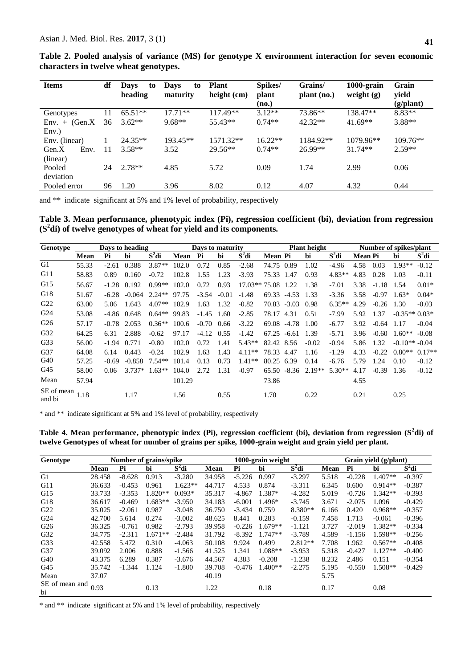**41**

| df<br><b>Items</b> |           | <b>Days</b><br>to<br>maturity | <b>Plant</b><br>height (cm) | Spikes/<br>plant<br>(no.) | Grains/<br>plant (no.) | 1000-grain<br>weight $(g)$ | Grain<br>yield<br>(g/plant) |  |
|--------------------|-----------|-------------------------------|-----------------------------|---------------------------|------------------------|----------------------------|-----------------------------|--|
| 11                 | $65.51**$ | $17.71**$                     | 117.49**                    | $3.12**$                  | 73.86**                | 138.47**                   | $8.83**$                    |  |
| 36                 | $3.62**$  | $9.68**$                      | 55.43**                     | $0.74**$<br>$42.32**$     |                        | $41.69**$                  | $3.88**$                    |  |
|                    |           |                               |                             |                           |                        |                            |                             |  |
|                    | $24.35**$ | 193.45**                      | 1571.32**                   | $16.22**$                 | 1184.92**              | 1079.96**                  | $109.76**$                  |  |
| 11                 | $3.58**$  | 3.52                          | $29.56**$                   | $0.74**$                  | 26.99**                | $31.74**$                  | $2.59**$                    |  |
|                    |           |                               |                             |                           |                        |                            |                             |  |
| 24                 | $2.78**$  | 4.85                          | 5.72                        | 0.09                      | 1.74                   | 2.99                       | 0.06                        |  |
|                    |           |                               |                             |                           |                        |                            |                             |  |
| 96                 | 1.20      | 3.96                          | 8.02                        | 0.12                      | 4.07                   | 4.32                       | 0.44                        |  |
|                    |           | <b>Days</b><br>to<br>heading  |                             |                           |                        |                            |                             |  |

**Table 2. Pooled analysis of variance (MS) for genotype X environment interaction for seven economic characters in twelve wheat genotypes.**

and \*\* indicate significant at 5% and 1% level of probability, respectively

**Table 3. Mean performance, phenotypic index (Pi), regression coefficient (bi), deviation from regression (S<sup>2</sup> di) of twelve genotypes of wheat for yield and its components.** 

| Genotype             |       | Days to heading | Days to maturity |          |        |         | <b>Plant height</b> |                |            |             | Number of spikes/plant |          |                |         |                |          |
|----------------------|-------|-----------------|------------------|----------|--------|---------|---------------------|----------------|------------|-------------|------------------------|----------|----------------|---------|----------------|----------|
|                      | Mean  | Pi              | hi               | $S^2$ di | Mean   | Pi      | bi                  | $S^2$ di       | Mean Pi    |             | bi                     | $S^2$ di | <b>Mean Pi</b> |         | bi             | $S^2$ di |
| G1                   | 55.33 | $-2.61$         | 0.388            | $3.87**$ | 102.0  | 0.72    | 0.85                | $-2.68$        | 74.75 0.89 |             | 1.02                   | $-4.96$  | 4.58           | 0.03    | $1.93**$       | $-0.12$  |
| G11                  | 58.83 | 0.89            | 0.160            | $-0.72$  | 102.8  | 1.55    | 1.23                | $-3.93$        | 75.33      | 1.47        | 0.93                   | $4.83**$ | 4.83           | 0.28    | 1.03           | $-0.11$  |
| G15                  | 56.67 | $-1.28$         | 0.192            | $0.99**$ | 102.0  | 0.72    | 0.93                | $17.03**75.08$ |            | 1.22        | 1.38                   | $-7.01$  | 3.38           | $-1.18$ | 1.54           | $0.01*$  |
| G18                  | 51.67 | $-6.28$         | $-0.064$         | $2.24**$ | 97.75  | $-3.54$ | $-0.01$             | $-1.48$        | 69.33      | $-4.53$     | 1.33                   | $-3.36$  | 3.58           | $-0.97$ | $1.63*$        | $0.04*$  |
| G22                  | 63.00 | 5.06            | 1.643            | $4.07**$ | 102.9  | 1.63    | 1.32                | $-0.82$        |            | 70.83 -3.03 | 0.98                   | $6.35**$ | 4.29           | $-0.26$ | 1.30           | $-0.03$  |
| G <sub>24</sub>      | 53.08 | -4.86           | 0.648            | $0.64**$ | 99.83  | $-1.45$ | 1.60                | $-2.85$        | 78.17      | 4.31        | 0.51                   | $-7.99$  | 5.92           | 1.37    | $-0.35**0.03*$ |          |
| G <sub>26</sub>      | 57.17 | $-0.78$         | 2.053            | $0.36**$ | 100.6  | $-0.70$ | 0.66                | $-3.22$        | 69.08      | $-4.78$     | 1.00                   | $-6.77$  | 3.92           | $-0.64$ | 1.17           | $-0.04$  |
| G <sub>32</sub>      | 64.25 | 6.31            | 2.888            | $-0.62$  | 97.17  | $-4.12$ | 0.55                | $-1.42$        | 67.25      | $-6.61$     | 1.39                   | $-5.71$  | 3.96           | $-0.60$ | $1.60**$       | $-0.08$  |
| G33                  | 56.00 | $-1.94$         | 0.771            | $-0.80$  | 102.0  | 0.72    | 1.41                | $5.43**$       | 82.42 8.56 |             | $-0.02$                | $-0.94$  | 5.86           | 1.32    | $-0.10**-0.04$ |          |
| G37                  | 64.08 | 6.14            | 0.443            | $-0.24$  | 102.9  | 1.63    | 1.43                | $4.11**$       | 78.33      | 4.47        | 1.16                   | $-1.29$  | 4.33           | $-0.22$ | $0.80**$       | $0.17**$ |
| G40                  | 57.25 | $-0.69$         | $-0.858$         | $7.54**$ | 101.4  | 0.13    | 0.73                | $1.41**$       | 80.25      | 6.39        | 0.14                   | $-6.76$  | 5.79           | 1.24    | 0.10           | $-0.12$  |
| G45                  | 58.00 | 0.06            | $3.737*$         | $1.63**$ | 104.0  | 2.72    | 1.31                | $-0.97$        | 65.50      | $-8.36$     | $2.19**$               | $5.30**$ | 4.17           | $-0.39$ | 1.36           | $-0.12$  |
| Mean                 | 57.94 |                 |                  |          | 101.29 |         |                     |                | 73.86      |             |                        |          | 4.55           |         |                |          |
| SE of mean<br>and bi | 1.18  |                 | 1.17             |          | 1.56   |         | 0.55                |                | 1.70       |             | 0.22                   |          | 0.21           |         | 0.25           |          |

\* and \*\* indicate significant at 5% and 1% level of probability, respectively

**Table 4. Mean performance, phenotypic index (Pi), regression coefficient (bi), deviation from regression (S<sup>2</sup> di) of twelve Genotypes of wheat for number of grains per spike, 1000-grain weight and grain yield per plant.**

| Genotype             |             |                              | Number of grains/spike |           | 1000-grain weight |          |           |           |       | Grain yield (g/plant) |           |          |  |  |
|----------------------|-------------|------------------------------|------------------------|-----------|-------------------|----------|-----------|-----------|-------|-----------------------|-----------|----------|--|--|
|                      | <b>Mean</b> | $S^2$ di<br>Pi<br>Mean<br>bi |                        | Pi        | $S^2$ di<br>bi    |          | Mean      | Pi        | bi    | $S^2$ di              |           |          |  |  |
| G1                   | 28.458      | $-8.628$                     | 0.913                  | $-3.280$  | 34.958            | $-5.226$ | 0.997     | $-3.297$  | 5.518 | $-0.228$              | $1.407**$ | $-0.397$ |  |  |
| G11                  | 36.633      | $-0.453$                     | 0.961                  | $1.623**$ | 44.717            | 4.533    | 0.874     | $-3.311$  | 6.345 | 0.600                 | $0.914**$ | $-0.387$ |  |  |
| G15                  | 33.733      | $-3.353$                     | $1.820**$              | $0.093*$  | 35.317            | $-4.867$ | $1.387*$  | $-4.282$  | 5.019 | $-0.726$              | $1.342**$ | $-0.393$ |  |  |
| G18                  | 36.617      | $-0.469$                     | $1.683**$              | $-3.950$  | 34.183            | $-6.001$ | $1.496*$  | $-3.745$  | 3.671 | $-2.075$              | 1.096     | $-0.429$ |  |  |
| G22                  | 35.025      | $-2.061$                     | 0.987                  | $-3.048$  | 36.750            | $-3.434$ | 0.759     | 8.380**   | 6.166 | 0.420                 | $0.968**$ | $-0.357$ |  |  |
| G <sub>24</sub>      | 42.700      | 5.614                        | 0.274                  | $-3.002$  | 48.625            | 8.441    | 0.283     | $-0.159$  | 7.458 | 1.713                 | $-0.061$  | $-0.396$ |  |  |
| G <sub>26</sub>      | 36.325      | $-0.761$                     | 0.982                  | $-2.793$  | 39.958            | $-0.226$ | $1.679**$ | $-1.121$  | 3.727 | $-2.019$              | $1.382**$ | $-0.334$ |  |  |
| G32                  | 34.775      | $-2.311$                     | $1.671**$              | $-2.484$  | 31.792            | $-8.392$ | $1.747**$ | $-3.789$  | 4.589 | $-1.156$              | 1.598**   | $-0.256$ |  |  |
| G33                  | 42.558      | 5.472                        | 0.310                  | $-4.063$  | 50.108            | 9.924    | 0.499     | $2.812**$ | 7.708 | 1.962                 | $0.567**$ | $-0.408$ |  |  |
| G37                  | 39.092      | 2.006                        | 0.888                  | $-1.566$  | 41.525            | 1.341    | $1.088**$ | $-3.953$  | 5.318 | $-0.427$              | $1.127**$ | $-0.400$ |  |  |
| G40                  | 43.375      | 6.289                        | 0.387                  | $-3.676$  | 44.567            | 4.383    | $-0.208$  | $-1.238$  | 8.232 | 2.486                 | 0.151     | $-0.354$ |  |  |
| G45                  | 35.742      | $-1.344$                     | 1.124                  | $-1.800$  | 39.708            | $-0.476$ | $1.400**$ | $-2.275$  | 5.195 | $-0.550$              | $1.508**$ | $-0.429$ |  |  |
| Mean                 | 37.07       |                              |                        |           | 40.19             |          |           |           | 5.75  |                       |           |          |  |  |
| SE of mean and<br>bi | 0.93        |                              | 0.13                   |           | 1.22              |          | 0.18      |           | 0.17  |                       | 0.08      |          |  |  |

\* and \*\* indicate significant at 5% and 1% level of probability, respectively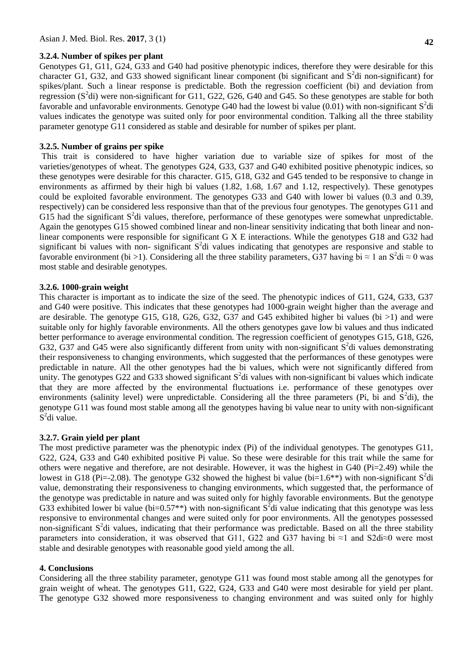#### **3.2.4. Number of spikes per plant**

Genotypes G1, G11, G24, G33 and G40 had positive phenotypic indices, therefore they were desirable for this character G1, G32, and G33 showed significant linear component (bi significant and  $S<sup>2</sup>$ di non-significant) for spikes/plant. Such a linear response is predictable. Both the regression coefficient (bi) and deviation from regression  $(S^2d)$  were non-significant for G11, G22, G26, G40 and G45. So these genotypes are stable for both favorable and unfavorable environments. Genotype G40 had the lowest bi value  $(0.01)$  with non-significant  $S^2$ di values indicates the genotype was suited only for poor environmental condition. Talking all the three stability parameter genotype G11 considered as stable and desirable for number of spikes per plant.

## **3.2.5. Number of grains per spike**

This trait is considered to have higher variation due to variable size of spikes for most of the varieties/genotypes of wheat. The genotypes G24, G33, G37 and G40 exhibited positive phenotypic indices, so these genotypes were desirable for this character. G15, G18, G32 and G45 tended to be responsive to change in environments as affirmed by their high bi values (1.82, 1.68, 1.67 and 1.12, respectively). These genotypes could be exploited favorable environment. The genotypes G33 and G40 with lower bi values (0.3 and 0.39, respectively) can be considered less responsive than that of the previous four genotypes. The genotypes G11 and G15 had the significant  $S^2$ di values, therefore, performance of these genotypes were somewhat unpredictable. Again the genotypes G15 showed combined linear and non-linear sensitivity indicating that both linear and nonlinear components were responsible for significant G X E interactions. While the genotypes G18 and G32 had significant bi values with non- significant  $S^2$ di values indicating that genotypes are responsive and stable to favorable environment (bi >1). Considering all the three stability parameters, G37 having bi  $\approx 1$  an S<sup>2</sup>di  $\approx 0$  was most stable and desirable genotypes.

#### **3.2.6. 1000-grain weight**

This character is important as to indicate the size of the seed. The phenotypic indices of G11, G24, G33, G37 and G40 were positive. This indicates that these genotypes had 1000-grain weight higher than the average and are desirable. The genotype G15, G18, G26, G32, G37 and G45 exhibited higher bi values (bi  $>1$ ) and were suitable only for highly favorable environments. All the others genotypes gave low bi values and thus indicated better performance to average environmental condition. The regression coefficient of genotypes G15, G18, G26, G32, G37 and G45 were also significantly different from unity with non-significant  $S^2$ di values demonstrating their responsiveness to changing environments, which suggested that the performances of these genotypes were predictable in nature. All the other genotypes had the bi values, which were not significantly differed from unity. The genotypes G22 and G33 showed significant  $S^2$ di values with non-significant bi values which indicate that they are more affected by the environmental fluctuations i.e. performance of these genotypes over environments (salinity level) were unpredictable. Considering all the three parameters (Pi, bi and  $S^2$ di), the genotype G11 was found most stable among all the genotypes having bi value near to unity with non-significant S<sup>2</sup>di value.

## **3.2.7. Grain yield per plant**

The most predictive parameter was the phenotypic index (Pi) of the individual genotypes. The genotypes G11, G22, G24, G33 and G40 exhibited positive Pi value. So these were desirable for this trait while the same for others were negative and therefore, are not desirable. However, it was the highest in  $G_40$  (Pi=2.49) while the lowest in G18 (Pi=-2.08). The genotype G32 showed the highest bi value (bi=1.6<sup>\*\*</sup>) with non-significant S<sup>2</sup>di value, demonstrating their responsiveness to changing environments, which suggested that, the performance of the genotype was predictable in nature and was suited only for highly favorable environments. But the genotype G33 exhibited lower bi value (bi=0.57<sup>\*\*</sup>) with non-significant  $S^2$ di value indicating that this genotype was less responsive to environmental changes and were suited only for poor environments. All the genotypes possessed non-significant  $S^2$ di values, indicating that their performance was predictable. Based on all the three stability parameters into consideration, it was observed that G11, G22 and G37 having bi ≈1 and S2di≈0 were most stable and desirable genotypes with reasonable good yield among the all.

## **4. Conclusions**

Considering all the three stability parameter, genotype G11 was found most stable among all the genotypes for grain weight of wheat. The genotypes G11, G22, G24, G33 and G40 were most desirable for yield per plant. The genotype G32 showed more responsiveness to changing environment and was suited only for highly